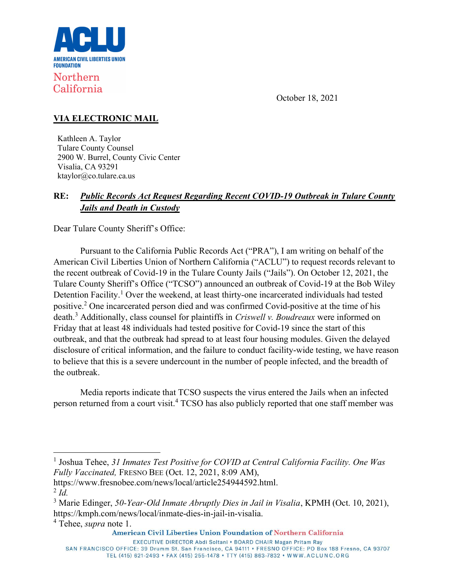

# Northern California

October 18, 2021

## VIA ELECTRONIC MAIL

Kathleen A. Taylor Tulare County Counsel 2900 W. Burrel, County Civic Center Visalia, CA 93291 ktaylor@co.tulare.ca.us

## RE: Public Records Act Request Regarding Recent COVID-19 Outbreak in Tulare County Jails and Death in Custody

Dear Tulare County Sheriff's Office:

Pursuant to the California Public Records Act ("PRA"), I am writing on behalf of the American Civil Liberties Union of Northern California ("ACLU") to request records relevant to the recent outbreak of Covid-19 in the Tulare County Jails ("Jails"). On October 12, 2021, the Tulare County Sheriff's Office ("TCSO") announced an outbreak of Covid-19 at the Bob Wiley Detention Facility.<sup>1</sup> Over the weekend, at least thirty-one incarcerated individuals had tested positive.<sup>2</sup> One incarcerated person died and was confirmed Covid-positive at the time of his death.<sup>3</sup> Additionally, class counsel for plaintiffs in *Criswell v. Boudreaux* were informed on Friday that at least 48 individuals had tested positive for Covid-19 since the start of this outbreak, and that the outbreak had spread to at least four housing modules. Given the delayed disclosure of critical information, and the failure to conduct facility-wide testing, we have reason to believe that this is a severe undercount in the number of people infected, and the breadth of the outbreak.

Media reports indicate that TCSO suspects the virus entered the Jails when an infected person returned from a court visit.<sup>4</sup> TCSO has also publicly reported that one staff member was

<sup>&</sup>lt;sup>1</sup> Joshua Tehee, 31 Inmates Test Positive for COVID at Central California Facility. One Was Fully Vaccinated, FRESNO BEE (Oct. 12, 2021, 8:09 AM),

https://www.fresnobee.com/news/local/article254944592.html.  $2$  Id.

<sup>&</sup>lt;sup>3</sup> Marie Edinger, 50-Year-Old Inmate Abruptly Dies in Jail in Visalia, KPMH (Oct. 10, 2021), https://kmph.com/news/local/inmate-dies-in-jail-in-visalia.

<sup>&</sup>lt;sup>4</sup> Tehee, *supra* note 1.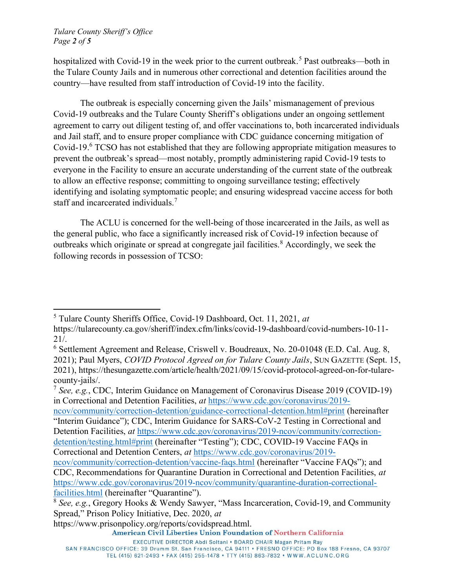hospitalized with Covid-19 in the week prior to the current outbreak.<sup>5</sup> Past outbreaks—both in the Tulare County Jails and in numerous other correctional and detention facilities around the country—have resulted from staff introduction of Covid-19 into the facility.

The outbreak is especially concerning given the Jails' mismanagement of previous Covid-19 outbreaks and the Tulare County Sheriff's obligations under an ongoing settlement agreement to carry out diligent testing of, and offer vaccinations to, both incarcerated individuals and Jail staff, and to ensure proper compliance with CDC guidance concerning mitigation of Covid-19.<sup>6</sup> TCSO has not established that they are following appropriate mitigation measures to prevent the outbreak's spread—most notably, promptly administering rapid Covid-19 tests to everyone in the Facility to ensure an accurate understanding of the current state of the outbreak to allow an effective response; committing to ongoing surveillance testing; effectively identifying and isolating symptomatic people; and ensuring widespread vaccine access for both staff and incarcerated individuals.<sup>7</sup>

The ACLU is concerned for the well-being of those incarcerated in the Jails, as well as the general public, who face a significantly increased risk of Covid-19 infection because of outbreaks which originate or spread at congregate jail facilities.<sup>8</sup> Accordingly, we seek the following records in possession of TCSO:

<sup>7</sup> See, e.g., CDC, Interim Guidance on Management of Coronavirus Disease 2019 (COVID-19) in Correctional and Detention Facilities, at https://www.cdc.gov/coronavirus/2019 ncov/community/correction-detention/guidance-correctional-detention.html#print (hereinafter

"Interim Guidance"); CDC, Interim Guidance for SARS-CoV-2 Testing in Correctional and Detention Facilities, at https://www.cdc.gov/coronavirus/2019-ncov/community/correctiondetention/testing.html#print (hereinafter "Testing"); CDC, COVID-19 Vaccine FAQs in Correctional and Detention Centers, at https://www.cdc.gov/coronavirus/2019-

SAN FRANCISCO OFFICE: 39 Drumm St. San Francisco, CA 94111 • FRESNO OFFICE: PO Box 188 Fresno, CA 93707 TEL (415) 621-2493 • FAX (415) 255-1478 • TTY (415) 863-7832 • WWW.ACLUNC.ORG

<sup>&</sup>lt;sup>5</sup> Tulare County Sheriffs Office, Covid-19 Dashboard, Oct. 11, 2021, at

https://tularecounty.ca.gov/sheriff/index.cfm/links/covid-19-dashboard/covid-numbers-10-11- 21/.

<sup>&</sup>lt;sup>6</sup> Settlement Agreement and Release, Criswell v. Boudreaux, No. 20-01048 (E.D. Cal. Aug. 8, 2021); Paul Myers, COVID Protocol Agreed on for Tulare County Jails, SUN GAZETTE (Sept. 15, 2021), https://thesungazette.com/article/health/2021/09/15/covid-protocol-agreed-on-for-tularecounty-jails/.

ncov/community/correction-detention/vaccine-faqs.html (hereinafter "Vaccine FAQs"); and CDC, Recommendations for Quarantine Duration in Correctional and Detention Facilities, at https://www.cdc.gov/coronavirus/2019-ncov/community/quarantine-duration-correctionalfacilities.html (hereinafter "Quarantine").

<sup>8</sup> See, e.g., Gregory Hooks & Wendy Sawyer, "Mass Incarceration, Covid-19, and Community Spread," Prison Policy Initiative, Dec. 2020, at

https://www.prisonpolicy.org/reports/covidspread.html.

EXECUTIVE DIRECTOR Abdi Soltani . BOARD CHAIR Magan Pritam Ray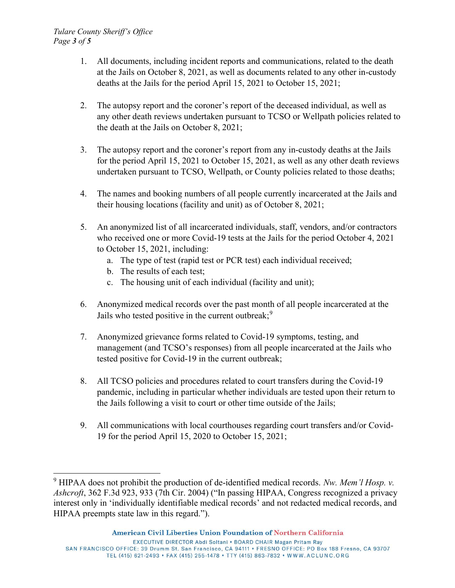#### Tulare County Sheriff's Office Page 3 of 5

- 1. All documents, including incident reports and communications, related to the death at the Jails on October 8, 2021, as well as documents related to any other in-custody deaths at the Jails for the period April 15, 2021 to October 15, 2021;
- 2. The autopsy report and the coroner's report of the deceased individual, as well as any other death reviews undertaken pursuant to TCSO or Wellpath policies related to the death at the Jails on October 8, 2021;
- 3. The autopsy report and the coroner's report from any in-custody deaths at the Jails for the period April 15, 2021 to October 15, 2021, as well as any other death reviews undertaken pursuant to TCSO, Wellpath, or County policies related to those deaths;
- 4. The names and booking numbers of all people currently incarcerated at the Jails and their housing locations (facility and unit) as of October 8, 2021;
- 5. An anonymized list of all incarcerated individuals, staff, vendors, and/or contractors who received one or more Covid-19 tests at the Jails for the period October 4, 2021 to October 15, 2021, including:
	- a. The type of test (rapid test or PCR test) each individual received;
	- b. The results of each test;
	- c. The housing unit of each individual (facility and unit);
- 6. Anonymized medical records over the past month of all people incarcerated at the Jails who tested positive in the current outbreak;  $9$
- 7. Anonymized grievance forms related to Covid-19 symptoms, testing, and management (and TCSO's responses) from all people incarcerated at the Jails who tested positive for Covid-19 in the current outbreak;
- 8. All TCSO policies and procedures related to court transfers during the Covid-19 pandemic, including in particular whether individuals are tested upon their return to the Jails following a visit to court or other time outside of the Jails;
- 9. All communications with local courthouses regarding court transfers and/or Covid-19 for the period April 15, 2020 to October 15, 2021;

<sup>&</sup>lt;sup>9</sup> HIPAA does not prohibit the production of de-identified medical records. Nw. Mem'l Hosp. v. Ashcroft, 362 F.3d 923, 933 (7th Cir. 2004) ("In passing HIPAA, Congress recognized a privacy interest only in 'individually identifiable medical records' and not redacted medical records, and HIPAA preempts state law in this regard.").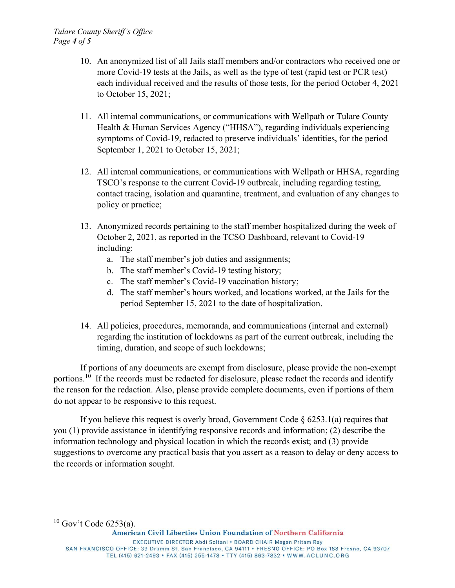- 10. An anonymized list of all Jails staff members and/or contractors who received one or more Covid-19 tests at the Jails, as well as the type of test (rapid test or PCR test) each individual received and the results of those tests, for the period October 4, 2021 to October 15, 2021;
- 11. All internal communications, or communications with Wellpath or Tulare County Health & Human Services Agency ("HHSA"), regarding individuals experiencing symptoms of Covid-19, redacted to preserve individuals' identities, for the period September 1, 2021 to October 15, 2021;
- 12. All internal communications, or communications with Wellpath or HHSA, regarding TSCO's response to the current Covid-19 outbreak, including regarding testing, contact tracing, isolation and quarantine, treatment, and evaluation of any changes to policy or practice;
- 13. Anonymized records pertaining to the staff member hospitalized during the week of October 2, 2021, as reported in the TCSO Dashboard, relevant to Covid-19 including:
	- a. The staff member's job duties and assignments;
	- b. The staff member's Covid-19 testing history;
	- c. The staff member's Covid-19 vaccination history;
	- d. The staff member's hours worked, and locations worked, at the Jails for the period September 15, 2021 to the date of hospitalization.
- 14. All policies, procedures, memoranda, and communications (internal and external) regarding the institution of lockdowns as part of the current outbreak, including the timing, duration, and scope of such lockdowns;

If portions of any documents are exempt from disclosure, please provide the non-exempt portions.<sup>10</sup> If the records must be redacted for disclosure, please redact the records and identify the reason for the redaction. Also, please provide complete documents, even if portions of them do not appear to be responsive to this request.

If you believe this request is overly broad, Government Code  $\S$  6253.1(a) requires that you (1) provide assistance in identifying responsive records and information; (2) describe the information technology and physical location in which the records exist; and (3) provide suggestions to overcome any practical basis that you assert as a reason to delay or deny access to the records or information sought.

 $10$  Gov't Code 6253(a).